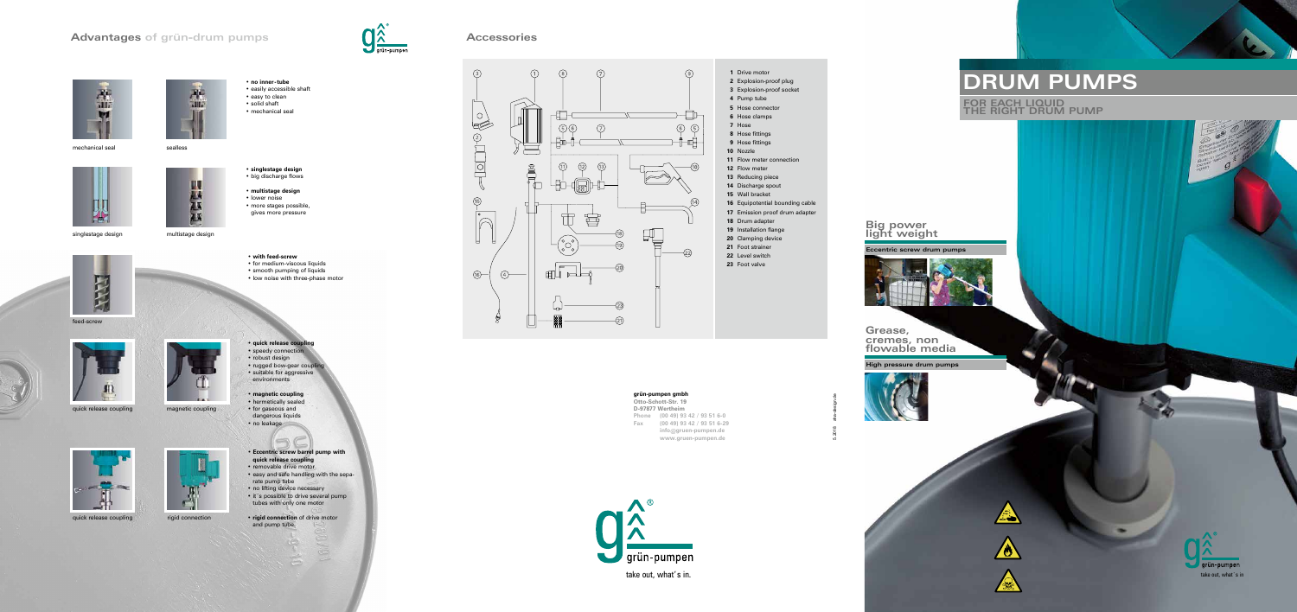# **Advantages of grün-drum pumps Accessories**



mechanical seal search sealless

5.2018 aha-design.de



Seep

**1** Drive motor

- **2** Explosion-proof plug **3** Explosion-proof socket
- **4** Pump tube
- **5** Hose connector
- **6** Hose clamps
- **7** Hose
- **8** Hose fittings
- **9** Hose fittings
- **10** Nozzle
- **11** Flow meter connection
- **12** Flow meter
- **13** Reducing piece
- **14** Discharge spout **15** Wall bracket
- 
- **16** Equipotential bounding cable **17** Emission proof drum adapter
- **18** Drum adapter
- **19** Installation flange
- **20** Clamping device
- **21** Foot strainer
- **22** Level switch
- **23** Foot valve

• **no inner-tube** • easily accessible shaft • easy to clean • solid shaft • mechanical seal

• **singlestage design** • big discharge flows

- **multistage design** • lower noise
- more stages possible, gives more pressure

## **DRUM PUMPS**

**FOR EACH LIQUID THE RIGHT DRUM PUMP**

take out, what's in.

#### • **with feed-screw**

- for medium-viscous liquids
- smooth pumping of liquids
- low noise with three-phase motor



- robust design
- rugged bow-gear coupl
- suitable for aggressive environments
- **magnetic coupling**
- hermetically sealed • for gaseous and
- dangerous liquids
- no leakage



- **Eccentric screw barrel pump with quick release coupling**
- removable drive motor • easy and safe handling with the sepa-
- rate pump tube • no lifting device necessary
- it´s possible to drive several pump tubes with only one motor
- **rigid connection** of drive motor and pump tube







multistage design

Ш

W.

75





magnetic coupling



quick release coupling and rigid connection





singlestage design

feed-screw

H



quick release coupling

**grün-pumpen gmbh Otto-Schott-Str. 19**

#### **D-97877 Wertheim**

**Phone (00 49) 93 42 / 93 51 6-0 Fax (00 49) 93 42 / 93 51 6-29 info@gruen-pumpen.de www.gruen-pumpen.de**



**High pressure drum pumps**



**Grease, cremes, non flowable media**

**Eccentric screw drum pumps**



#### **Big power light weight**